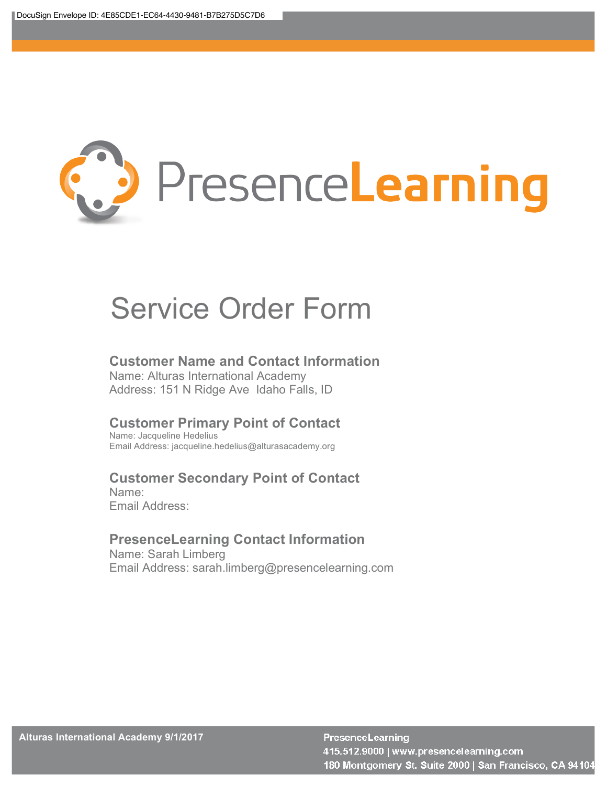

# Service Order Form

#### **Customer Name and Contact Information**

Name: Alturas International Academy Address: 151 N Ridge Ave Idaho Falls, ID

## **Customer Primary Point of Contact**

Name: Jacqueline Hedelius Email Address: jacqueline.hedelius@alturasacademy.org

## **Customer Secondary Point of Contact**

Name: Email Address:

### **PresenceLearning Contact Information**

Name: Sarah Limberg Email Address: sarah.limberg@presencelearning.com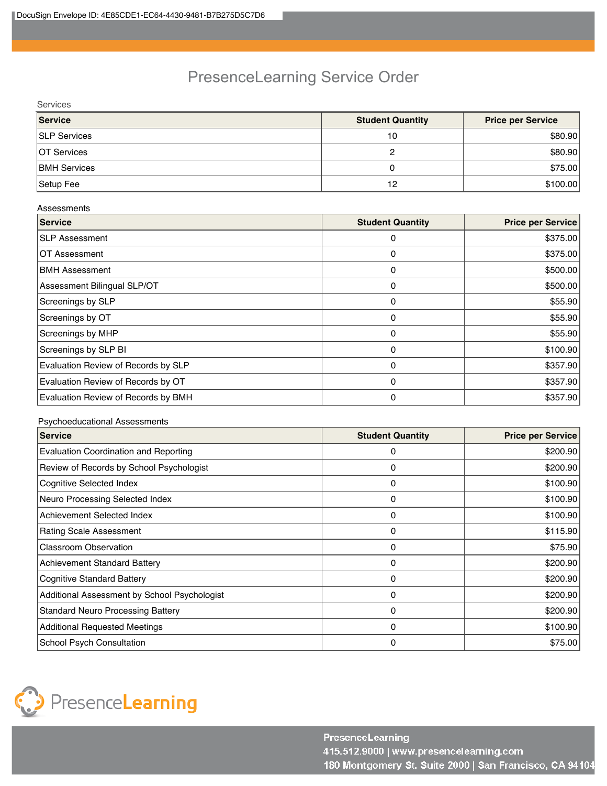## PresenceLearning Service Order

Services

| <b>Service</b>      | <b>Student Quantity</b> | <b>Price per Service</b> |
|---------------------|-------------------------|--------------------------|
| <b>SLP Services</b> | 10                      | \$80.90                  |
| <b>OT Services</b>  |                         | \$80.90                  |
| <b>BMH Services</b> |                         | \$75.00                  |
| Setup Fee           | 12                      | \$100.00                 |

#### Assessments

| Service                             | <b>Student Quantity</b> | Price per Service |
|-------------------------------------|-------------------------|-------------------|
| <b>SLP Assessment</b>               | 0                       | \$375.00          |
| <b>IOT Assessment</b>               | 0                       | \$375.00          |
| <b>BMH Assessment</b>               | 0                       | \$500.00          |
| Assessment Bilingual SLP/OT         | 0                       | \$500.00          |
| Screenings by SLP                   | 0                       | \$55.90           |
| Screenings by OT                    | 0                       | \$55.90           |
| Screenings by MHP                   | 0                       | \$55.90           |
| Screenings by SLP BI                | 0                       | \$100.90          |
| Evaluation Review of Records by SLP | 0                       | \$357.90          |
| Evaluation Review of Records by OT  | 0                       | \$357.90          |
| Evaluation Review of Records by BMH |                         | \$357.90          |

#### Psychoeducational Assessments

| <b>Service</b>                               | <b>Student Quantity</b> | <b>Price per Service</b> |
|----------------------------------------------|-------------------------|--------------------------|
| <b>Evaluation Coordination and Reporting</b> | 0                       | \$200.90                 |
| Review of Records by School Psychologist     | 0                       | \$200.90                 |
| <b>Cognitive Selected Index</b>              | 0                       | \$100.90                 |
| Neuro Processing Selected Index              | 0                       | \$100.90                 |
| Achievement Selected Index                   | 0                       | \$100.90                 |
| Rating Scale Assessment                      | 0                       | \$115.90                 |
| <b>Classroom Observation</b>                 | 0                       | \$75.90                  |
| <b>Achievement Standard Battery</b>          | 0                       | \$200.90                 |
| <b>Cognitive Standard Battery</b>            | 0                       | \$200.90                 |
| Additional Assessment by School Psychologist | 0                       | \$200.90                 |
| <b>Standard Neuro Processing Battery</b>     | 0                       | \$200.90                 |
| <b>Additional Requested Meetings</b>         | 0                       | \$100.90                 |
| School Psych Consultation                    | 0                       | \$75.00                  |

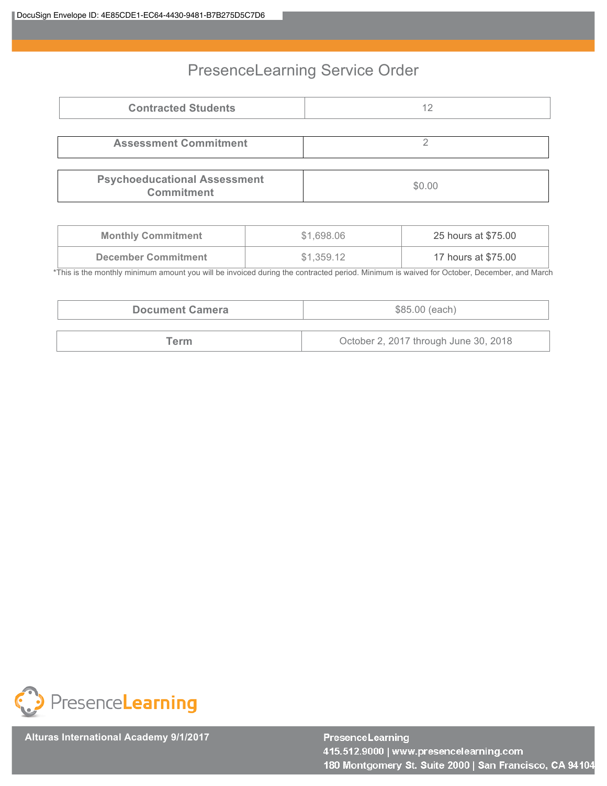## PresenceLearning Service Order

| <b>Contracted Students</b>                               | 12     |
|----------------------------------------------------------|--------|
| <b>Assessment Commitment</b>                             |        |
| <b>Psychoeducational Assessment</b><br><b>Commitment</b> | \$0.00 |

| <b>Monthly Commitment</b>  | \$1,698,06 | 25 hours at \$75.00 |
|----------------------------|------------|---------------------|
| <b>December Commitment</b> | \$1,359.12 | 17 hours at \$75.00 |

\*This is the monthly minimum amount you will be invoiced during the contracted period. Minimum is waived for October, December, and March

| <b>Document Camera</b> | \$85.00 (each)                        |  |
|------------------------|---------------------------------------|--|
| Term                   | October 2, 2017 through June 30, 2018 |  |



**Alturas International Academy 9/1/2017**